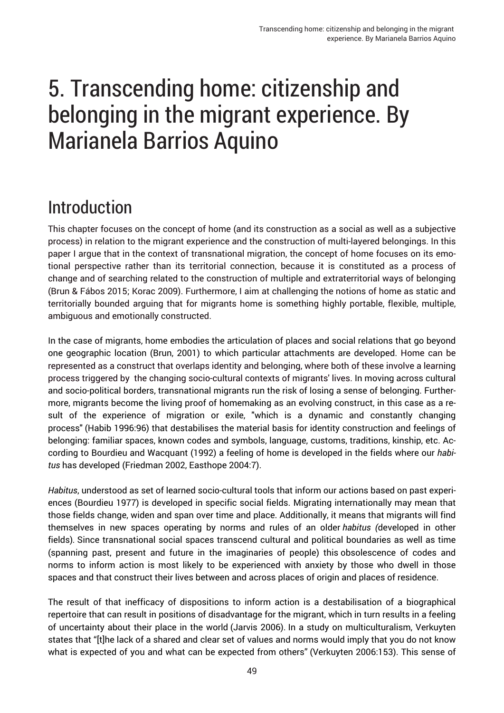# Introduction

This chapter focuses on the concept of home (and its construction as a social as well as a subjective process) in relation to the migrant experience and the construction of multi-layered belongings. In this paper I argue that in the context of transnational migration, the concept of home focuses on its emotional perspective rather than its territorial connection, because it is constituted as a process of change and of searching related to the construction of multiple and extraterritorial ways of belonging (Brun & Fábos 2015; Korac 2009). Furthermore, I aim at challenging the notions of home as static and territorially bounded arguing that for migrants home is something highly portable, flexible, multiple, ambiguous and emotionally constructed.

In the case of migrants, home embodies the articulation of places and social relations that go beyond one geographic location (Brun, 2001) to which particular attachments are developed. Home can be represented as a construct that overlaps identity and belonging, where both of these involve a learning process triggered by the changing socio-cultural contexts of migrants' lives. In moving across cultural and socio-political borders, transnational migrants run the risk of losing a sense of belonging. Furthermore, migrants become the living proof of homemaking as an evolving construct, in this case as a result of the experience of migration or exile, "which is a dynamic and constantly changing process" (Habib 1996:96) that destabilises the material basis for identity construction and feelings of belonging: familiar spaces, known codes and symbols, language, customs, traditions, kinship, etc. According to Bourdieu and Wacquant (1992) a feeling of home is developed in the fields where our *habitus* has developed (Friedman 2002, Easthope 2004:7).

*Habitus*, understood as set of learned socio-cultural tools that inform our actions based on past experiences (Bourdieu 1977) is developed in specific social fields. Migrating internationally may mean that those fields change, widen and span over time and place. Additionally, it means that migrants will find themselves in new spaces operating by norms and rules of an older *habitus (*developed in other fields)*.* Since transnational social spaces transcend cultural and political boundaries as well as time (spanning past, present and future in the imaginaries of people) this obsolescence of codes and norms to inform action is most likely to be experienced with anxiety by those who dwell in those spaces and that construct their lives between and across places of origin and places of residence.

The result of that inefficacy of dispositions to inform action is a destabilisation of a biographical repertoire that can result in positions of disadvantage for the migrant, which in turn results in a feeling of uncertainty about their place in the world (Jarvis 2006). In a study on multiculturalism, Verkuyten states that "[t]he lack of a shared and clear set of values and norms would imply that you do not know what is expected of you and what can be expected from others" (Verkuyten 2006:153). This sense of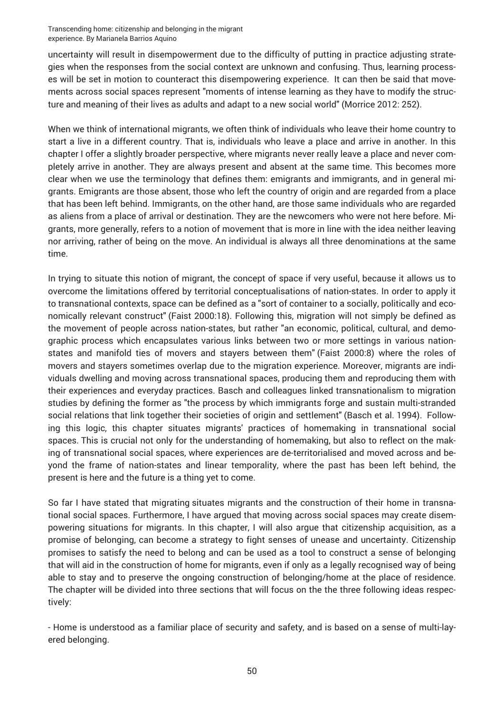uncertainty will result in disempowerment due to the difficulty of putting in practice adjusting strategies when the responses from the social context are unknown and confusing. Thus, learning processes will be set in motion to counteract this disempowering experience. It can then be said that movements across social spaces represent "moments of intense learning as they have to modify the structure and meaning of their lives as adults and adapt to a new social world" (Morrice 2012: 252).

When we think of international migrants, we often think of individuals who leave their home country to start a live in a different country. That is, individuals who leave a place and arrive in another. In this chapter I offer a slightly broader perspective, where migrants never really leave a place and never completely arrive in another. They are always present and absent at the same time. This becomes more clear when we use the terminology that defines them: emigrants and immigrants, and in general migrants. Emigrants are those absent, those who left the country of origin and are regarded from a place that has been left behind. Immigrants, on the other hand, are those same individuals who are regarded as aliens from a place of arrival or destination. They are the newcomers who were not here before. Migrants, more generally, refers to a notion of movement that is more in line with the idea neither leaving nor arriving, rather of being on the move. An individual is always all three denominations at the same time.

In trying to situate this notion of migrant, the concept of space if very useful, because it allows us to overcome the limitations offered by territorial conceptualisations of nation-states. In order to apply it to transnational contexts, space can be defined as a "sort of container to a socially, politically and economically relevant construct" (Faist 2000:18). Following this, migration will not simply be defined as the movement of people across nation-states, but rather "an economic, political, cultural, and demographic process which encapsulates various links between two or more settings in various nationstates and manifold ties of movers and stayers between them" (Faist 2000:8) where the roles of movers and stayers sometimes overlap due to the migration experience. Moreover, migrants are individuals dwelling and moving across transnational spaces, producing them and reproducing them with their experiences and everyday practices. Basch and colleagues linked transnationalism to migration studies by defining the former as "the process by which immigrants forge and sustain multi-stranded social relations that link together their societies of origin and settlement" (Basch et al. 1994). Following this logic, this chapter situates migrants' practices of homemaking in transnational social spaces. This is crucial not only for the understanding of homemaking, but also to reflect on the making of transnational social spaces, where experiences are de-territorialised and moved across and beyond the frame of nation-states and linear temporality, where the past has been left behind, the present is here and the future is a thing yet to come.

So far I have stated that migrating situates migrants and the construction of their home in transnational social spaces. Furthermore, I have argued that moving across social spaces may create disempowering situations for migrants. In this chapter, I will also argue that citizenship acquisition, as a promise of belonging, can become a strategy to fight senses of unease and uncertainty. Citizenship promises to satisfy the need to belong and can be used as a tool to construct a sense of belonging that will aid in the construction of home for migrants, even if only as a legally recognised way of being able to stay and to preserve the ongoing construction of belonging/home at the place of residence. The chapter will be divided into three sections that will focus on the the three following ideas respectively:

- Home is understood as a familiar place of security and safety, and is based on a sense of multi-layered belonging.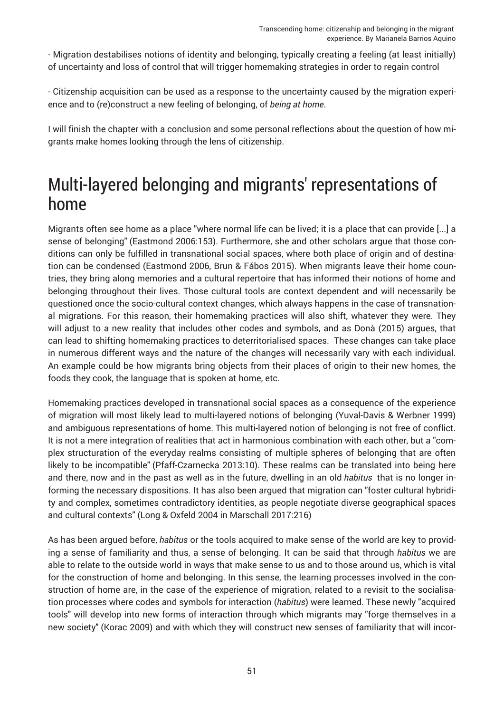- Migration destabilises notions of identity and belonging, typically creating a feeling (at least initially) of uncertainty and loss of control that will trigger homemaking strategies in order to regain control

- Citizenship acquisition can be used as a response to the uncertainty caused by the migration experience and to (re)construct a new feeling of belonging, of *being at home*.

I will finish the chapter with a conclusion and some personal reflections about the question of how migrants make homes looking through the lens of citizenship.

#### Multi-layered belonging and migrants' representations of home

Migrants often see home as a place "where normal life can be lived; it is a place that can provide [...] a sense of belonging" (Eastmond 2006:153). Furthermore, she and other scholars argue that those conditions can only be fulfilled in transnational social spaces, where both place of origin and of destination can be condensed (Eastmond 2006, Brun & Fábos 2015). When migrants leave their home countries, they bring along memories and a cultural repertoire that has informed their notions of home and belonging throughout their lives. Those cultural tools are context dependent and will necessarily be questioned once the socio-cultural context changes, which always happens in the case of transnational migrations. For this reason, their homemaking practices will also shift, whatever they were. They will adjust to a new reality that includes other codes and symbols, and as Donà (2015) argues, that can lead to shifting homemaking practices to deterritorialised spaces. These changes can take place in numerous different ways and the nature of the changes will necessarily vary with each individual. An example could be how migrants bring objects from their places of origin to their new homes, the foods they cook, the language that is spoken at home, etc.

Homemaking practices developed in transnational social spaces as a consequence of the experience of migration will most likely lead to multi-layered notions of belonging (Yuval-Davis & Werbner 1999) and ambiguous representations of home. This multi-layered notion of belonging is not free of conflict. It is not a mere integration of realities that act in harmonious combination with each other, but a "complex structuration of the everyday realms consisting of multiple spheres of belonging that are often likely to be incompatible" (Pfaff-Czarnecka 2013:10). These realms can be translated into being here and there, now and in the past as well as in the future, dwelling in an old *habitus* that is no longer informing the necessary dispositions. It has also been argued that migration can "foster cultural hybridity and complex, sometimes contradictory identities, as people negotiate diverse geographical spaces and cultural contexts" (Long & Oxfeld 2004 in Marschall 2017:216)

As has been argued before, *habitus* or the tools acquired to make sense of the world are key to providing a sense of familiarity and thus, a sense of belonging. It can be said that through *habitus* we are able to relate to the outside world in ways that make sense to us and to those around us, which is vital for the construction of home and belonging. In this sense, the learning processes involved in the construction of home are, in the case of the experience of migration, related to a revisit to the socialisation processes where codes and symbols for interaction (*habitus*) were learned. These newly "acquired tools" will develop into new forms of interaction through which migrants may "forge themselves in a new society" (Korac 2009) and with which they will construct new senses of familiarity that will incor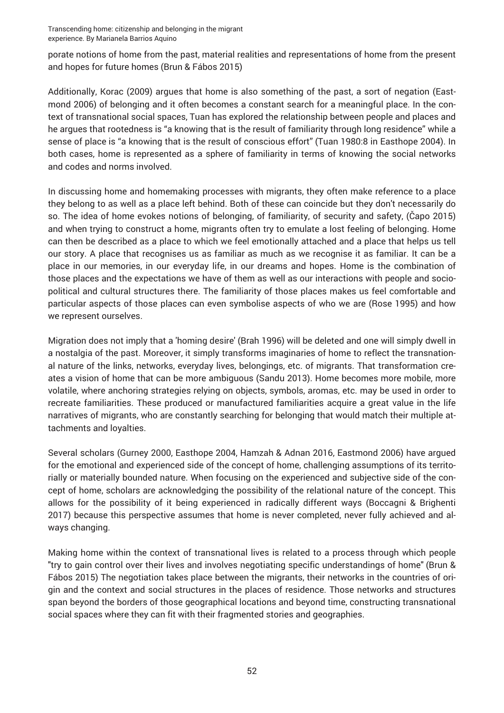porate notions of home from the past, material realities and representations of home from the present and hopes for future homes (Brun & Fábos 2015)

Additionally, Korac (2009) argues that home is also something of the past, a sort of negation (Eastmond 2006) of belonging and it often becomes a constant search for a meaningful place. In the context of transnational social spaces, Tuan has explored the relationship between people and places and he argues that rootedness is "a knowing that is the result of familiarity through long residence" while a sense of place is "a knowing that is the result of conscious effort" (Tuan 1980:8 in Easthope 2004). In both cases, home is represented as a sphere of familiarity in terms of knowing the social networks and codes and norms involved.

In discussing home and homemaking processes with migrants, they often make reference to a place they belong to as well as a place left behind. Both of these can coincide but they don't necessarily do so. The idea of home evokes notions of belonging, of familiarity, of security and safety, (Čapo 2015) and when trying to construct a home, migrants often try to emulate a lost feeling of belonging. Home can then be described as a place to which we feel emotionally attached and a place that helps us tell our story. A place that recognises us as familiar as much as we recognise it as familiar. It can be a place in our memories, in our everyday life, in our dreams and hopes. Home is the combination of those places and the expectations we have of them as well as our interactions with people and sociopolitical and cultural structures there. The familiarity of those places makes us feel comfortable and particular aspects of those places can even symbolise aspects of who we are (Rose 1995) and how we represent ourselves.

Migration does not imply that a 'homing desire' (Brah 1996) will be deleted and one will simply dwell in a nostalgia of the past. Moreover, it simply transforms imaginaries of home to reflect the transnational nature of the links, networks, everyday lives, belongings, etc. of migrants. That transformation creates a vision of home that can be more ambiguous (Sandu 2013). Home becomes more mobile, more volatile, where anchoring strategies relying on objects, symbols, aromas, etc. may be used in order to recreate familiarities. These produced or manufactured familiarities acquire a great value in the life narratives of migrants, who are constantly searching for belonging that would match their multiple attachments and loyalties.

Several scholars (Gurney 2000, Easthope 2004, Hamzah & Adnan 2016, Eastmond 2006) have argued for the emotional and experienced side of the concept of home, challenging assumptions of its territorially or materially bounded nature. When focusing on the experienced and subjective side of the concept of home, scholars are acknowledging the possibility of the relational nature of the concept. This allows for the possibility of it being experienced in radically different ways (Boccagni & Brighenti 2017) because this perspective assumes that home is never completed, never fully achieved and always changing.

Making home within the context of transnational lives is related to a process through which people "try to gain control over their lives and involves negotiating specific understandings of home" (Brun & Fábos 2015) The negotiation takes place between the migrants, their networks in the countries of origin and the context and social structures in the places of residence. Those networks and structures span beyond the borders of those geographical locations and beyond time, constructing transnational social spaces where they can fit with their fragmented stories and geographies.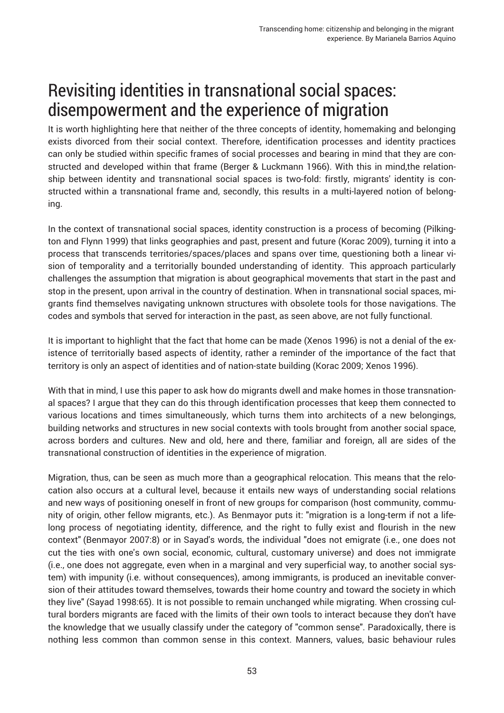### Revisiting identities in transnational social spaces: disempowerment and the experience of migration

It is worth highlighting here that neither of the three concepts of identity, homemaking and belonging exists divorced from their social context. Therefore, identification processes and identity practices can only be studied within specific frames of social processes and bearing in mind that they are constructed and developed within that frame (Berger & Luckmann 1966). With this in mind,the relationship between identity and transnational social spaces is two-fold: firstly, migrants' identity is constructed within a transnational frame and, secondly, this results in a multi-layered notion of belonging.

In the context of transnational social spaces, identity construction is a process of becoming (Pilkington and Flynn 1999) that links geographies and past, present and future (Korac 2009), turning it into a process that transcends territories/spaces/places and spans over time, questioning both a linear vision of temporality and a territorially bounded understanding of identity. This approach particularly challenges the assumption that migration is about geographical movements that start in the past and stop in the present, upon arrival in the country of destination. When in transnational social spaces, migrants find themselves navigating unknown structures with obsolete tools for those navigations. The codes and symbols that served for interaction in the past, as seen above, are not fully functional.

It is important to highlight that the fact that home can be made (Xenos 1996) is not a denial of the existence of territorially based aspects of identity, rather a reminder of the importance of the fact that territory is only an aspect of identities and of nation-state building (Korac 2009; Xenos 1996).

With that in mind, I use this paper to ask how do migrants dwell and make homes in those transnational spaces? I argue that they can do this through identification processes that keep them connected to various locations and times simultaneously, which turns them into architects of a new belongings, building networks and structures in new social contexts with tools brought from another social space, across borders and cultures. New and old, here and there, familiar and foreign, all are sides of the transnational construction of identities in the experience of migration.

Migration, thus, can be seen as much more than a geographical relocation. This means that the relocation also occurs at a cultural level, because it entails new ways of understanding social relations and new ways of positioning oneself in front of new groups for comparison (host community, community of origin, other fellow migrants, etc.). As Benmayor puts it: "migration is a long-term if not a lifelong process of negotiating identity, difference, and the right to fully exist and flourish in the new context" (Benmayor 2007:8) or in Sayad's words, the individual "does not emigrate (i.e., one does not cut the ties with one's own social, economic, cultural, customary universe) and does not immigrate (i.e., one does not aggregate, even when in a marginal and very superficial way, to another social system) with impunity (i.e. without consequences), among immigrants, is produced an inevitable conversion of their attitudes toward themselves, towards their home country and toward the society in which they live" (Sayad 1998:65). It is not possible to remain unchanged while migrating. When crossing cultural borders migrants are faced with the limits of their own tools to interact because they don't have the knowledge that we usually classify under the category of "common sense". Paradoxically, there is nothing less common than common sense in this context. Manners, values, basic behaviour rules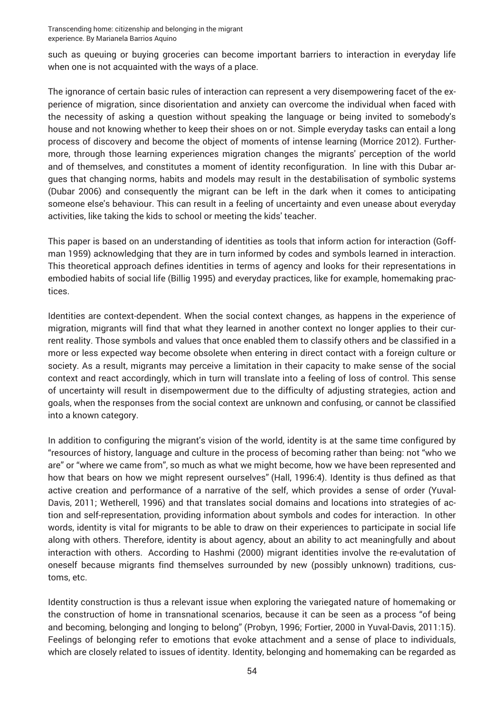such as queuing or buying groceries can become important barriers to interaction in everyday life when one is not acquainted with the ways of a place.

The ignorance of certain basic rules of interaction can represent a very disempowering facet of the experience of migration, since disorientation and anxiety can overcome the individual when faced with the necessity of asking a question without speaking the language or being invited to somebody's house and not knowing whether to keep their shoes on or not. Simple everyday tasks can entail a long process of discovery and become the object of moments of intense learning (Morrice 2012). Furthermore, through those learning experiences migration changes the migrants' perception of the world and of themselves, and constitutes a moment of identity reconfiguration. In line with this Dubar argues that changing norms, habits and models may result in the destabilisation of symbolic systems (Dubar 2006) and consequently the migrant can be left in the dark when it comes to anticipating someone else's behaviour. This can result in a feeling of uncertainty and even unease about everyday activities, like taking the kids to school or meeting the kids' teacher.

This paper is based on an understanding of identities as tools that inform action for interaction (Goffman 1959) acknowledging that they are in turn informed by codes and symbols learned in interaction. This theoretical approach defines identities in terms of agency and looks for their representations in embodied habits of social life (Billig 1995) and everyday practices, like for example, homemaking practices.

Identities are context-dependent. When the social context changes, as happens in the experience of migration, migrants will find that what they learned in another context no longer applies to their current reality. Those symbols and values that once enabled them to classify others and be classified in a more or less expected way become obsolete when entering in direct contact with a foreign culture or society. As a result, migrants may perceive a limitation in their capacity to make sense of the social context and react accordingly, which in turn will translate into a feeling of loss of control. This sense of uncertainty will result in disempowerment due to the difficulty of adjusting strategies, action and goals, when the responses from the social context are unknown and confusing, or cannot be classified into a known category.

In addition to configuring the migrant's vision of the world, identity is at the same time configured by "resources of history, language and culture in the process of becoming rather than being: not "who we are" or "where we came from", so much as what we might become, how we have been represented and how that bears on how we might represent ourselves" (Hall, 1996:4). Identity is thus defined as that active creation and performance of a narrative of the self, which provides a sense of order (Yuval-Davis, 2011; Wetherell, 1996) and that translates social domains and locations into strategies of action and self-representation, providing information about symbols and codes for interaction. In other words, identity is vital for migrants to be able to draw on their experiences to participate in social life along with others. Therefore, identity is about agency, about an ability to act meaningfully and about interaction with others. According to Hashmi (2000) migrant identities involve the re-evalutation of oneself because migrants find themselves surrounded by new (possibly unknown) traditions, customs, etc.

Identity construction is thus a relevant issue when exploring the variegated nature of homemaking or the construction of home in transnational scenarios, because it can be seen as a process "of being and becoming, belonging and longing to belong" (Probyn, 1996; Fortier, 2000 in Yuval-Davis, 2011:15). Feelings of belonging refer to emotions that evoke attachment and a sense of place to individuals, which are closely related to issues of identity. Identity, belonging and homemaking can be regarded as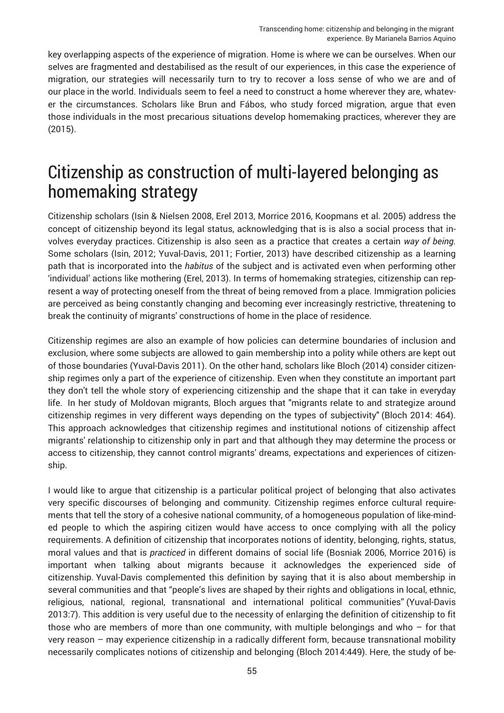key overlapping aspects of the experience of migration. Home is where we can be ourselves. When our selves are fragmented and destabilised as the result of our experiences, in this case the experience of migration, our strategies will necessarily turn to try to recover a loss sense of who we are and of our place in the world. Individuals seem to feel a need to construct a home wherever they are, whatever the circumstances. Scholars like Brun and Fábos, who study forced migration, argue that even those individuals in the most precarious situations develop homemaking practices, wherever they are (2015).

#### Citizenship as construction of multi-layered belonging as homemaking strategy

Citizenship scholars (Isin & Nielsen 2008, Erel 2013, Morrice 2016, Koopmans et al. 2005) address the concept of citizenship beyond its legal status, acknowledging that is is also a social process that involves everyday practices. Citizenship is also seen as a practice that creates a certain *way of being.* Some scholars (Isin, 2012; Yuval-Davis, 2011; Fortier, 2013) have described citizenship as a learning path that is incorporated into the *habitus* of the subject and is activated even when performing other 'individual' actions like mothering (Erel, 2013). In terms of homemaking strategies, citizenship can represent a way of protecting oneself from the threat of being removed from a place. Immigration policies are perceived as being constantly changing and becoming ever increasingly restrictive, threatening to break the continuity of migrants' constructions of home in the place of residence.

Citizenship regimes are also an example of how policies can determine boundaries of inclusion and exclusion, where some subjects are allowed to gain membership into a polity while others are kept out of those boundaries (Yuval-Davis 2011). On the other hand, scholars like Bloch (2014) consider citizenship regimes only a part of the experience of citizenship. Even when they constitute an important part they don't tell the whole story of experiencing citizenship and the shape that it can take in everyday life. In her study of Moldovan migrants, Bloch argues that "migrants relate to and strategize around citizenship regimes in very different ways depending on the types of subjectivity" (Bloch 2014: 464). This approach acknowledges that citizenship regimes and institutional notions of citizenship affect migrants' relationship to citizenship only in part and that although they may determine the process or access to citizenship, they cannot control migrants' dreams, expectations and experiences of citizenship.

I would like to argue that citizenship is a particular political project of belonging that also activates very specific discourses of belonging and community. Citizenship regimes enforce cultural requirements that tell the story of a cohesive national community, of a homogeneous population of like-minded people to which the aspiring citizen would have access to once complying with all the policy requirements. A definition of citizenship that incorporates notions of identity, belonging, rights, status, moral values and that is *practiced* in different domains of social life (Bosniak 2006, Morrice 2016) is important when talking about migrants because it acknowledges the experienced side of citizenship. Yuval-Davis complemented this definition by saying that it is also about membership in several communities and that "people's lives are shaped by their rights and obligations in local, ethnic, religious, national, regional, transnational and international political communities" (Yuval-Davis 2013:7). This addition is very useful due to the necessity of enlarging the definition of citizenship to fit those who are members of more than one community, with multiple belongings and who  $-$  for that very reason – may experience citizenship in a radically different form, because transnational mobility necessarily complicates notions of citizenship and belonging (Bloch 2014:449). Here, the study of be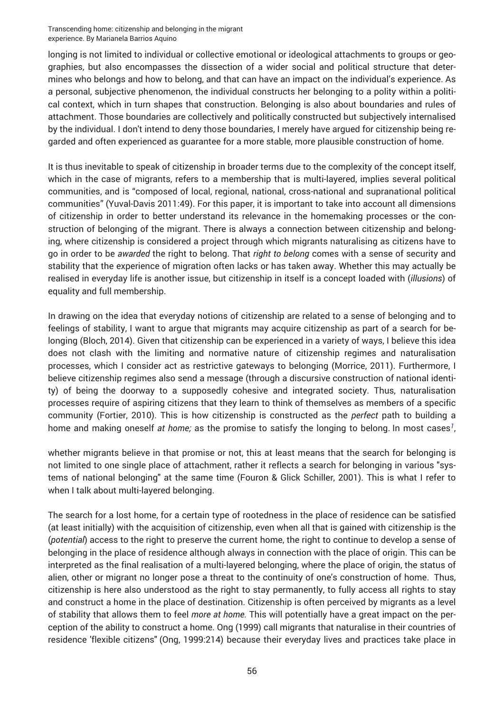longing is not limited to individual or collective emotional or ideological attachments to groups or geographies, but also encompasses the dissection of a wider social and political structure that determines who belongs and how to belong, and that can have an impact on the individual's experience. As a personal, subjective phenomenon, the individual constructs her belonging to a polity within a political context, which in turn shapes that construction. Belonging is also about boundaries and rules of attachment. Those boundaries are collectively and politically constructed but subjectively internalised by the individual. I don't intend to deny those boundaries, I merely have argued for citizenship being regarded and often experienced as guarantee for a more stable, more plausible construction of home.

It is thus inevitable to speak of citizenship in broader terms due to the complexity of the concept itself, which in the case of migrants, refers to a membership that is multi-layered, implies several political communities, and is "composed of local, regional, national, cross-national and supranational political communities" (Yuval-Davis 2011:49). For this paper, it is important to take into account all dimensions of citizenship in order to better understand its relevance in the homemaking processes or the construction of belonging of the migrant. There is always a connection between citizenship and belonging, where citizenship is considered a project through which migrants naturalising as citizens have to go in order to be *awarded* the right to belong. That *right to belong* comes with a sense of security and stability that the experience of migration often lacks or has taken away. Whether this may actually be realised in everyday life is another issue, but citizenship in itself is a concept loaded with (*illusions*) of equality and full membership.

In drawing on the idea that everyday notions of citizenship are related to a sense of belonging and to feelings of stability, I want to argue that migrants may acquire citizenship as part of a search for belonging (Bloch, 2014). Given that citizenship can be experienced in a variety of ways, I believe this idea does not clash with the limiting and normative nature of citizenship regimes and naturalisation processes, which I consider act as restrictive gateways to belonging (Morrice, 2011). Furthermore, I believe citizenship regimes also send a message (through a discursive construction of national identity) of being the doorway to a supposedly cohesive and integrated society. Thus, naturalisation processes require of aspiring citizens that they learn to think of themselves as members of a specific community (Fortier, 2010). This is how citizenship is constructed as the *perfect* path to building a home and making oneself *at home;* as the promise to satisfy the longing to belong. In most cases<sup>[1](#page-13-0)</sup>,

whether migrants believe in that promise or not, this at least means that the search for belonging is not limited to one single place of attachment, rather it reflects a search for belonging in various "systems of national belonging" at the same time (Fouron & Glick Schiller, 2001). This is what I refer to when I talk about multi-layered belonging.

The search for a lost home, for a certain type of rootedness in the place of residence can be satisfied (at least initially) with the acquisition of citizenship, even when all that is gained with citizenship is the (*potential*) access to the right to preserve the current home, the right to continue to develop a sense of belonging in the place of residence although always in connection with the place of origin. This can be interpreted as the final realisation of a multi-layered belonging, where the place of origin, the status of alien, other or migrant no longer pose a threat to the continuity of one's construction of home. Thus, citizenship is here also understood as the right to stay permanently, to fully access all rights to stay and construct a home in the place of destination. Citizenship is often perceived by migrants as a level of stability that allows them to feel *more at home.* This will potentially have a great impact on the perception of the ability to construct a home. Ong (1999) call migrants that naturalise in their countries of residence 'flexible citizens" (Ong, 1999:214) because their everyday lives and practices take place in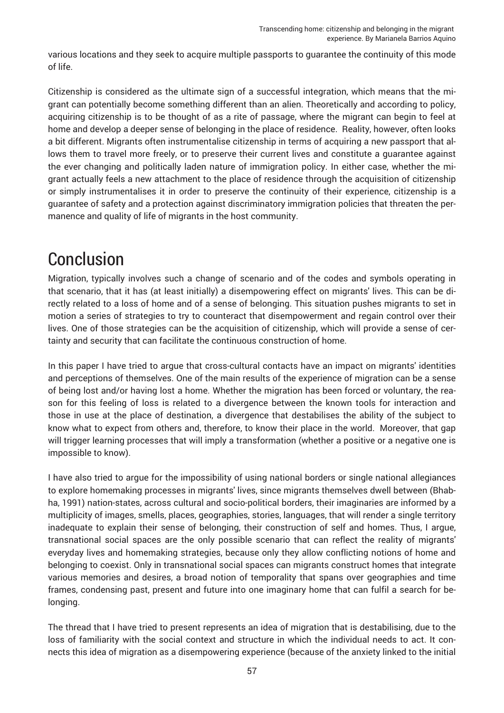various locations and they seek to acquire multiple passports to guarantee the continuity of this mode of life.

Citizenship is considered as the ultimate sign of a successful integration, which means that the migrant can potentially become something different than an alien. Theoretically and according to policy, acquiring citizenship is to be thought of as a rite of passage, where the migrant can begin to feel at home and develop a deeper sense of belonging in the place of residence. Reality, however, often looks a bit different. Migrants often instrumentalise citizenship in terms of acquiring a new passport that allows them to travel more freely, or to preserve their current lives and constitute a guarantee against the ever changing and politically laden nature of immigration policy. In either case, whether the migrant actually feels a new attachment to the place of residence through the acquisition of citizenship or simply instrumentalises it in order to preserve the continuity of their experience, citizenship is a guarantee of safety and a protection against discriminatory immigration policies that threaten the permanence and quality of life of migrants in the host community.

#### Conclusion

Migration, typically involves such a change of scenario and of the codes and symbols operating in that scenario, that it has (at least initially) a disempowering effect on migrants' lives. This can be directly related to a loss of home and of a sense of belonging. This situation pushes migrants to set in motion a series of strategies to try to counteract that disempowerment and regain control over their lives. One of those strategies can be the acquisition of citizenship, which will provide a sense of certainty and security that can facilitate the continuous construction of home.

In this paper I have tried to argue that cross-cultural contacts have an impact on migrants' identities and perceptions of themselves. One of the main results of the experience of migration can be a sense of being lost and/or having lost a home. Whether the migration has been forced or voluntary, the reason for this feeling of loss is related to a divergence between the known tools for interaction and those in use at the place of destination, a divergence that destabilises the ability of the subject to know what to expect from others and, therefore, to know their place in the world. Moreover, that gap will trigger learning processes that will imply a transformation (whether a positive or a negative one is impossible to know).

I have also tried to argue for the impossibility of using national borders or single national allegiances to explore homemaking processes in migrants' lives, since migrants themselves dwell between (Bhabha, 1991) nation-states, across cultural and socio-political borders, their imaginaries are informed by a multiplicity of images, smells, places, geographies, stories, languages, that will render a single territory inadequate to explain their sense of belonging, their construction of self and homes. Thus, I argue, transnational social spaces are the only possible scenario that can reflect the reality of migrants' everyday lives and homemaking strategies, because only they allow conflicting notions of home and belonging to coexist. Only in transnational social spaces can migrants construct homes that integrate various memories and desires, a broad notion of temporality that spans over geographies and time frames, condensing past, present and future into one imaginary home that can fulfil a search for belonging.

The thread that I have tried to present represents an idea of migration that is destabilising, due to the loss of familiarity with the social context and structure in which the individual needs to act. It connects this idea of migration as a disempowering experience (because of the anxiety linked to the initial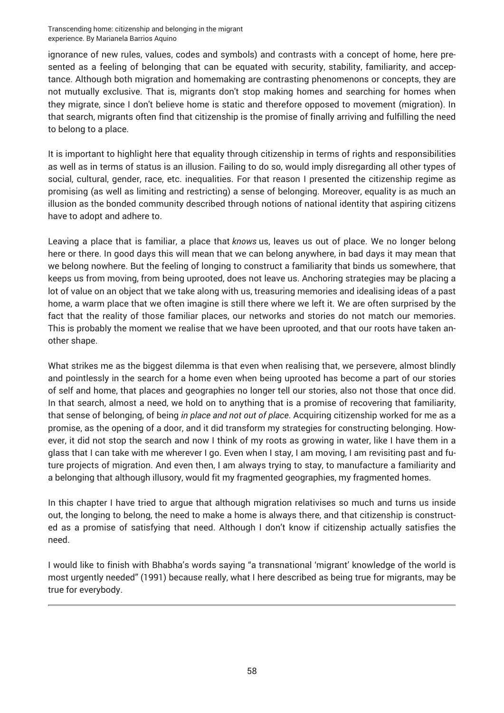ignorance of new rules, values, codes and symbols) and contrasts with a concept of home, here presented as a feeling of belonging that can be equated with security, stability, familiarity, and acceptance. Although both migration and homemaking are contrasting phenomenons or concepts, they are not mutually exclusive. That is, migrants don't stop making homes and searching for homes when they migrate, since I don't believe home is static and therefore opposed to movement (migration). In that search, migrants often find that citizenship is the promise of finally arriving and fulfilling the need to belong to a place.

It is important to highlight here that equality through citizenship in terms of rights and responsibilities as well as in terms of status is an illusion. Failing to do so, would imply disregarding all other types of social, cultural, gender, race, etc. inequalities. For that reason I presented the citizenship regime as promising (as well as limiting and restricting) a sense of belonging. Moreover, equality is as much an illusion as the bonded community described through notions of national identity that aspiring citizens have to adopt and adhere to.

Leaving a place that is familiar, a place that *knows* us, leaves us out of place. We no longer belong here or there. In good days this will mean that we can belong anywhere, in bad days it may mean that we belong nowhere. But the feeling of longing to construct a familiarity that binds us somewhere, that keeps us from moving, from being uprooted, does not leave us. Anchoring strategies may be placing a lot of value on an object that we take along with us, treasuring memories and idealising ideas of a past home, a warm place that we often imagine is still there where we left it. We are often surprised by the fact that the reality of those familiar places, our networks and stories do not match our memories. This is probably the moment we realise that we have been uprooted, and that our roots have taken another shape.

What strikes me as the biggest dilemma is that even when realising that, we persevere, almost blindly and pointlessly in the search for a home even when being uprooted has become a part of our stories of self and home, that places and geographies no longer tell our stories, also not those that once did. In that search, almost a need, we hold on to anything that is a promise of recovering that familiarity, that sense of belonging, of being *in place and not out of place*. Acquiring citizenship worked for me as a promise, as the opening of a door, and it did transform my strategies for constructing belonging. However, it did not stop the search and now I think of my roots as growing in water, like I have them in a glass that I can take with me wherever I go. Even when I stay, I am moving, I am revisiting past and future projects of migration. And even then, I am always trying to stay, to manufacture a familiarity and a belonging that although illusory, would fit my fragmented geographies, my fragmented homes.

In this chapter I have tried to argue that although migration relativises so much and turns us inside out, the longing to belong, the need to make a home is always there, and that citizenship is constructed as a promise of satisfying that need. Although I don't know if citizenship actually satisfies the need.

I would like to finish with Bhabha's words saying "a transnational 'migrant' knowledge of the world is most urgently needed" (1991) because really, what I here described as being true for migrants, may be true for everybody.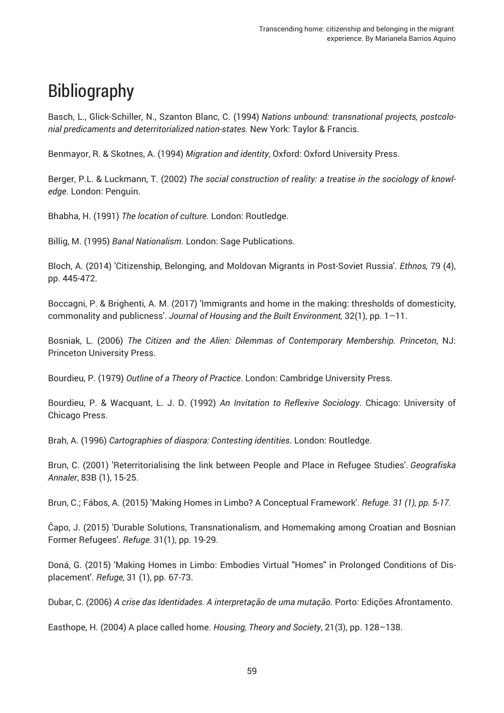# Bibliography

Basch, L., Glick-Schiller, N., Szanton Blanc, C. (1994) *Nations unbound: transnational projects, postcolonial predicaments and deterritorialized nation-states.* New York: Taylor & Francis.

Benmayor, R. & Skotnes, A. (1994) *Migration and identity*, Oxford: Oxford University Press.

Berger, P.L. & Luckmann, T. (2002) The social construction of reality: a treatise in the sociology of knowl*edge*. London: Penguin.

Bhabha, H. (1991) *The location of culture*. London: Routledge.

Billig, M. (1995) *Banal Nationalism*. London: Sage Publications.

Bloch, A. (2014) 'Citizenship, Belonging, and Moldovan Migrants in Post-Soviet Russia'. *Ethnos,* 79 (4), pp. 445-472.

Boccagni, P. & Brighenti, A. M. (2017) 'Immigrants and home in the making: thresholds of domesticity, commonality and publicness'. *Journal of Housing and the Built Environment,* 32(1), pp. 1–11.

Bosniak, L. (2006) *The Citizen and the Alien: Dilemmas of Contemporary Membership. Princeton*, NJ: Princeton University Press.

Bourdieu, P. (1979) *Outline of a Theory of Practice*. London: Cambridge University Press.

Bourdieu, P. & Wacquant, L. J. D. (1992) *An Invitation to Reflexive Sociology*. Chicago: University of Chicago Press.

Brah, A. (1996) *Cartographies of diaspora: Contesting identities*. London: Routledge.

Brun, C. (2001) 'Reterritorialising the link between People and Place in Refugee Studies'. *Geografiska Annaler*, 83B (1), 15-25.

Brun, C.; Fábos, A. (2015) 'Making Homes in Limbo? A Conceptual Framework'. *Refuge. 31 (1), pp. 5-17.*

Čapo, J. (2015) 'Durable Solutions, Transnationalism, and Homemaking among Croatian and Bosnian Former Refugees'. *Refuge.* 31(1), pp. 19-29.

Doná, G. (2015) 'Making Homes in Limbo: Embodies Virtual "Homes" in Prolonged Conditions of Displacement'. *Refuge,* 31 (1), pp. 67-73.

Dubar, C. (2006) *A crise das Identidades. A interpretação de uma mutação*. Porto: Edições Afrontamento.

Easthope, H. (2004) A place called home. *Housing, Theory and Society*, 21(3), pp. 128–138.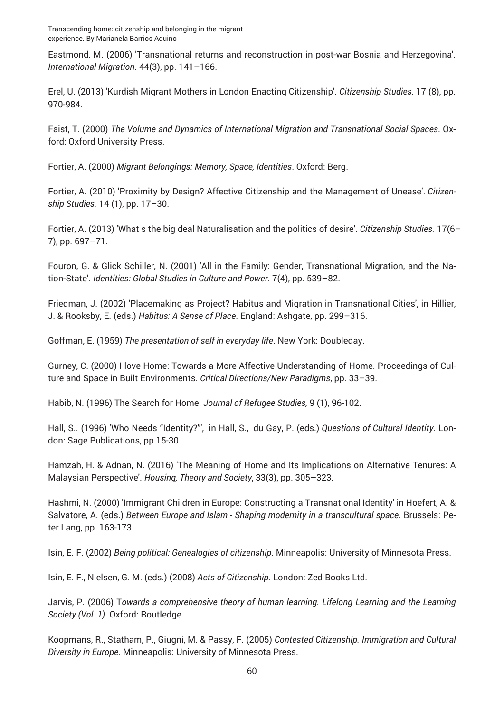Eastmond, M. (2006) 'Transnational returns and reconstruction in post-war Bosnia and Herzegovina'. *International Migration*. 44(3), pp. 141–166.

Erel, U. (2013) 'Kurdish Migrant Mothers in London Enacting Citizenship'. *Citizenship Studies.* 17 (8), pp. 970-984.

Faist, T. (2000) *The Volume and Dynamics of International Migration and Transnational Social Spaces*. Oxford: Oxford University Press.

Fortier, A. (2000) *Migrant Belongings: Memory, Space, Identities*. Oxford: Berg.

Fortier, A. (2010) 'Proximity by Design? Affective Citizenship and the Management of Unease'. *Citizenship Studies.* 14 (1), pp. 17–30.

Fortier, A. (2013) 'What s the big deal Naturalisation and the politics of desire'. *Citizenship Studies.* 17(6– 7), pp. 697–71.

Fouron, G. & Glick Schiller, N. (2001) 'All in the Family: Gender, Transnational Migration, and the Nation-State'. *Identities: Global Studies in Culture and Power.* 7(4), pp. 539–82.

Friedman, J. (2002) 'Placemaking as Project? Habitus and Migration in Transnational Cities', in Hillier, J. & Rooksby, E. (eds.) *Habitus: A Sense of Place*. England: Ashgate, pp. 299–316.

Goffman, E. (1959) *The presentation of self in everyday life*. New York: Doubleday.

Gurney, C. (2000) I love Home: Towards a More Affective Understanding of Home. Proceedings of Culture and Space in Built Environments. *Critical Directions/New Paradigms*, pp. 33–39.

Habib, N. (1996) The Search for Home. *Journal of Refugee Studies,* 9 (1), 96-102.

Hall, S.. (1996) 'Who Needs "Identity?"', in Hall, S., du Gay, P. (eds.) *Questions of Cultural Identity*. London: Sage Publications, pp.15-30.

Hamzah, H. & Adnan, N. (2016) 'The Meaning of Home and Its Implications on Alternative Tenures: A Malaysian Perspective'. *Housing, Theory and Society*, 33(3), pp. 305–323.

Hashmi, N. (2000) 'Immigrant Children in Europe: Constructing a Transnational Identity' in Hoefert, A. & Salvatore, A. (eds.) *Between Europe and Islam - Shaping modernity in a transcultural space*. Brussels: Peter Lang, pp. 163-173.

Isin, E. F. (2002) *Being political: Genealogies of citizenship*. Minneapolis: University of Minnesota Press.

Isin, E. F., Nielsen, G. M. (eds.) (2008) *Acts of Citizenship*. London: Zed Books Ltd.

Jarvis, P. (2006) T*owards a comprehensive theory of human learning. Lifelong Learning and the Learning Society (Vol. 1)*. Oxford: Routledge.

Koopmans, R., Statham, P., Giugni, M. & Passy, F. (2005) *Contested Citizenship. Immigration and Cultural Diversity in Europe.* Minneapolis: University of Minnesota Press.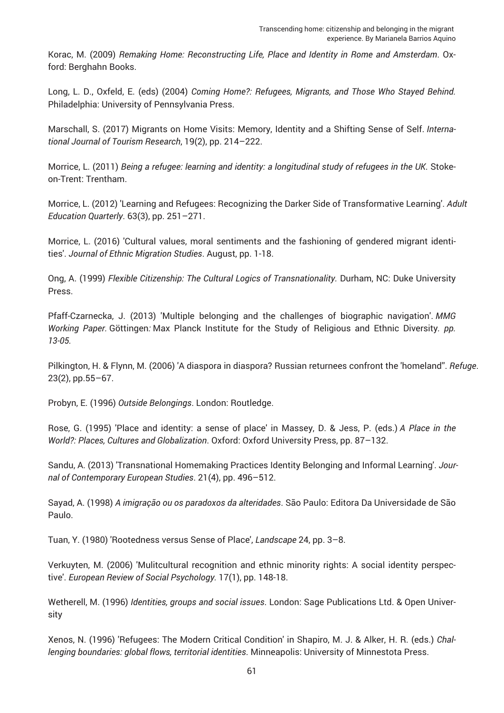Korac, M. (2009) *Remaking Home: Reconstructing Life, Place and Identity in Rome and Amsterdam*. Oxford: Berghahn Books.

Long, L. D., Oxfeld, E. (eds) (2004) *Coming Home?: Refugees, Migrants, and Those Who Stayed Behind.* Philadelphia: University of Pennsylvania Press.

Marschall, S. (2017) Migrants on Home Visits: Memory, Identity and a Shifting Sense of Self. *International Journal of Tourism Research*, 19(2), pp. 214–222.

Morrice, L. (2011) *Being a refugee: learning and identity: a longitudinal study of refugees in the UK*. Stokeon-Trent: Trentham.

Morrice, L. (2012) 'Learning and Refugees: Recognizing the Darker Side of Transformative Learning'. *Adult Education Quarterly*. 63(3), pp. 251–271.

Morrice, L. (2016) 'Cultural values, moral sentiments and the fashioning of gendered migrant identities'. *Journal of Ethnic Migration Studies*. August, pp. 1-18.

Ong, A. (1999) *Flexible Citizenship: The Cultural Logics of Transnationality.* Durham, NC: Duke University Press.

Pfaff-Czarnecka, J. (2013) 'Multiple belonging and the challenges of biographic navigation'. *MMG Working Paper.* Göttingen*:* Max Planck Institute for the Study of Religious and Ethnic Diversity*. pp. 13-05.*

Pilkington, H. & Flynn, M. (2006) 'A diaspora in diaspora? Russian returnees confront the 'homeland''. *Refuge*. 23(2), pp.55–67.

Probyn, E. (1996) *Outside Belongings*. London: Routledge.

Rose, G. (1995) 'Place and identity: a sense of place' in Massey, D. & Jess, P. (eds.) *A Place in the World?: Places, Cultures and Globalization*. Oxford: Oxford University Press, pp. 87–132.

Sandu, A. (2013) 'Transnational Homemaking Practices Identity Belonging and Informal Learning'. *Journal of Contemporary European Studies*. 21(4), pp. 496–512.

Sayad, A. (1998) *A imigração ou os paradoxos da alteridades*. São Paulo: Editora Da Universidade de São Paulo.

Tuan, Y. (1980) 'Rootedness versus Sense of Place', *Landscape* 24, pp. 3–8.

Verkuyten, M. (2006) 'Mulitcultural recognition and ethnic minority rights: A social identity perspective'. *European Review of Social Psychology.* 17(1), pp. 148-18.

Wetherell, M. (1996) *Identities, groups and social issues*. London: Sage Publications Ltd. & Open University

Xenos, N. (1996) 'Refugees: The Modern Critical Condition' in Shapiro, M. J. & Alker, H. R. (eds.) *Challenging boundaries: global flows, territorial identities*. Minneapolis: University of Minnestota Press.